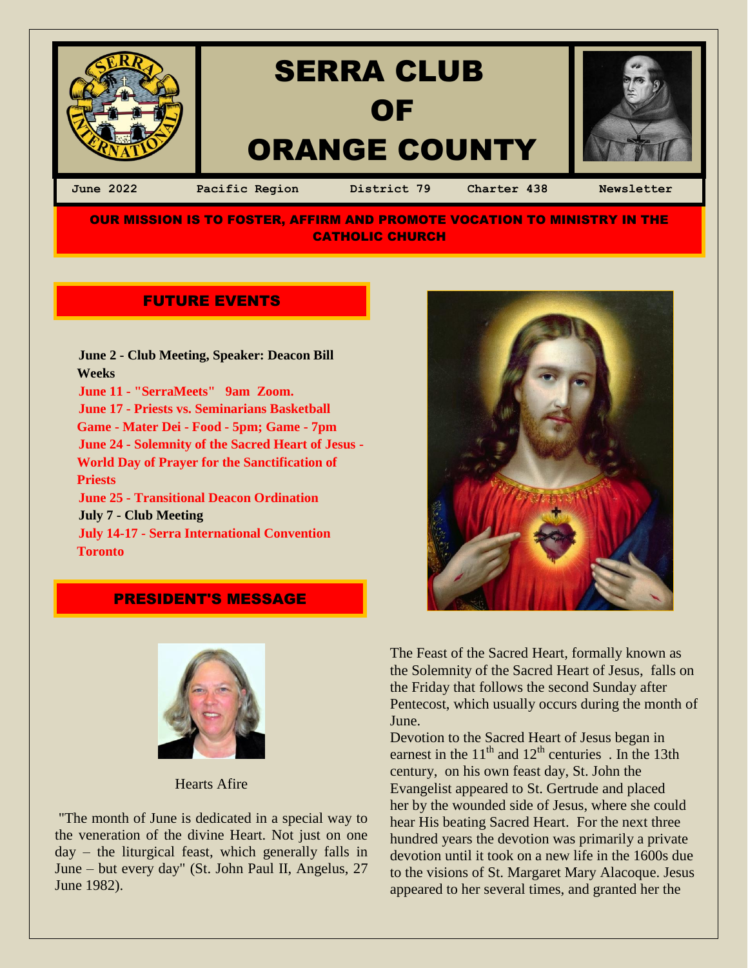

**OUR MISSION IS TO FOSTER, AFFIRM AND PROMOTE VOCATION TO MINISTRY IN THE** CATHOLIC CHURCH

# **FUTURE EVENTS**

 **June 2 - Club Meeting, Speaker: Deacon Bill Weeks June 11 - "SerraMeets" 9am Zoom. June 17 - Priests vs. Seminarians Basketball Game - Mater Dei - Food - 5pm; Game - 7pm June 24 - Solemnity of the Sacred Heart of Jesus - World Day of Prayer for the Sanctification of Priests June 25 - Transitional Deacon Ordination July 7 - Club Meeting July 14-17 - Serra International Convention Toronto**

### PRESIDENT'S MESSAGE



Hearts Afire

"The month of June is dedicated in a special way to the veneration of the divine Heart. Not just on one day – the liturgical feast, which generally falls in June – but every day" (St. John Paul II, Angelus, 27 June 1982).



The Feast of the Sacred Heart, formally known as the Solemnity of the Sacred Heart of Jesus, falls on the Friday that follows the second Sunday after Pentecost, which usually occurs during the month of June.

Devotion to the Sacred Heart of Jesus began in earnest in the  $11<sup>th</sup>$  and  $12<sup>th</sup>$  centuries . In the 13th century, on his own feast day, St. John the Evangelist appeared to St. Gertrude and placed her by the wounded side of Jesus, where she could hear His beating Sacred Heart.For the next three hundred years the devotion was primarily a private devotion until it took on a new life in the 1600s due to the visions of St. Margaret Mary Alacoque. Jesus appeared to her several times, and granted her the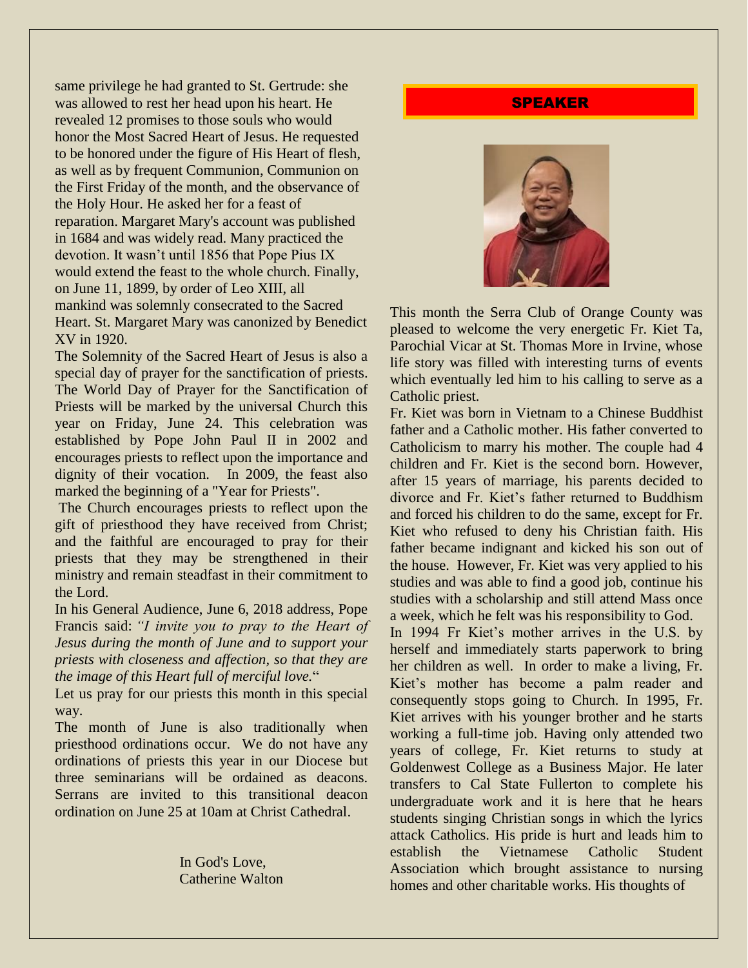same privilege he had granted to St. Gertrude: she was allowed to rest her head upon his heart. He revealed 12 promises to those souls who would honor the Most Sacred Heart of Jesus. He requested to be honored under the figure of His Heart of flesh, as well as by frequent Communion, Communion on the First Friday of the month, and the observance of the Holy Hour. He asked her for a feast of reparation. Margaret Mary's account was published in 1684 and was widely read. Many practiced the devotion. It wasn't until 1856 that Pope Pius IX would extend the feast to the whole church. Finally, on June 11, 1899, by order of Leo XIII, all mankind was solemnly consecrated to the Sacred Heart. St. Margaret Mary was canonized by Benedict XV in 1920.

The Solemnity of the Sacred Heart of Jesus is also a special day of prayer for the sanctification of priests. The World Day of Prayer for the Sanctification of Priests will be marked by the universal Church this year on Friday, June 24. This celebration was established by Pope John Paul II in 2002 and encourages priests to reflect upon the importance and dignity of their vocation. In 2009, the feast also marked the beginning of a "Year for Priests".

The Church encourages priests to reflect upon the gift of priesthood they have received from Christ; and the faithful are encouraged to pray for their priests that they may be strengthened in their ministry and remain steadfast in their commitment to the Lord.

In his General Audience, June 6, 2018 address, Pope Francis said: *"I invite you to pray to the Heart of Jesus during the month of June and to support your priests with closeness and affection, so that they are the image of this Heart full of merciful love.*"

Let us pray for our priests this month in this special way.

The month of June is also traditionally when priesthood ordinations occur. We do not have any ordinations of priests this year in our Diocese but three seminarians will be ordained as deacons. Serrans are invited to this transitional deacon ordination on June 25 at 10am at Christ Cathedral.

> In God's Love, Catherine Walton

## SPEAKER



This month the Serra Club of Orange County was pleased to welcome the very energetic Fr. Kiet Ta, Parochial Vicar at St. Thomas More in Irvine, whose life story was filled with interesting turns of events which eventually led him to his calling to serve as a Catholic priest.

Fr. Kiet was born in Vietnam to a Chinese Buddhist father and a Catholic mother. His father converted to Catholicism to marry his mother. The couple had 4 children and Fr. Kiet is the second born. However, after 15 years of marriage, his parents decided to divorce and Fr. Kiet's father returned to Buddhism and forced his children to do the same, except for Fr. Kiet who refused to deny his Christian faith. His father became indignant and kicked his son out of the house. However, Fr. Kiet was very applied to his studies and was able to find a good job, continue his studies with a scholarship and still attend Mass once a week, which he felt was his responsibility to God.

In 1994 Fr Kiet's mother arrives in the U.S. by herself and immediately starts paperwork to bring her children as well. In order to make a living, Fr. Kiet's mother has become a palm reader and consequently stops going to Church. In 1995, Fr. Kiet arrives with his younger brother and he starts working a full-time job. Having only attended two years of college, Fr. Kiet returns to study at Goldenwest College as a Business Major. He later transfers to Cal State Fullerton to complete his undergraduate work and it is here that he hears students singing Christian songs in which the lyrics attack Catholics. His pride is hurt and leads him to establish the Vietnamese Catholic Student Association which brought assistance to nursing homes and other charitable works. His thoughts of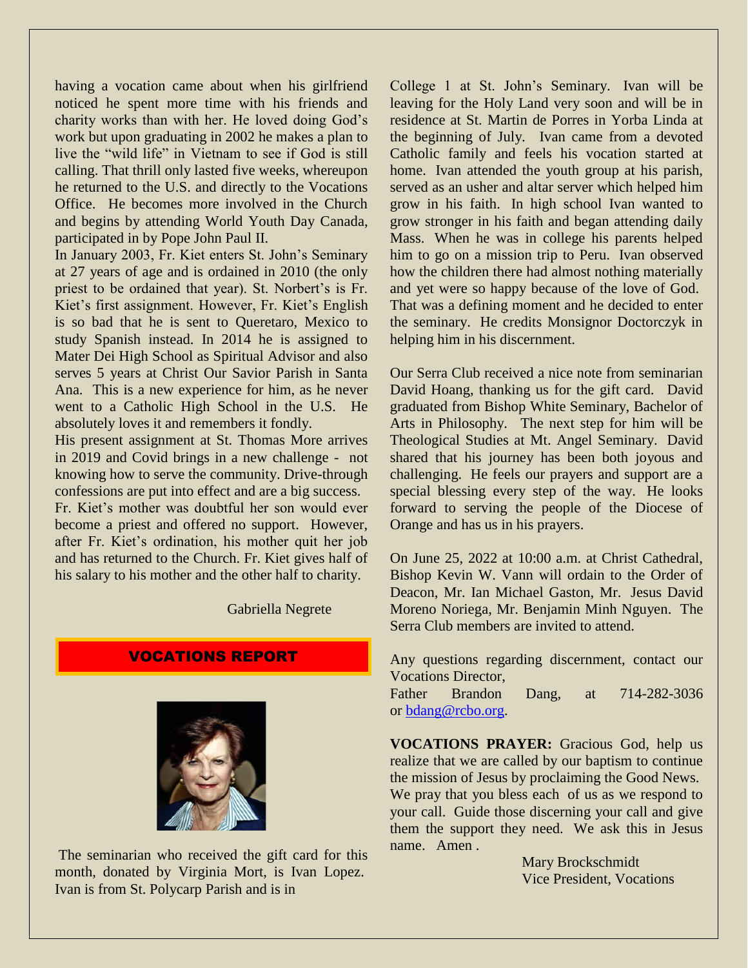having a vocation came about when his girlfriend noticed he spent more time with his friends and charity works than with her. He loved doing God's work but upon graduating in 2002 he makes a plan to live the "wild life" in Vietnam to see if God is still calling. That thrill only lasted five weeks, whereupon he returned to the U.S. and directly to the Vocations Office. He becomes more involved in the Church and begins by attending World Youth Day Canada, participated in by Pope John Paul II.

In January 2003, Fr. Kiet enters St. John's Seminary at 27 years of age and is ordained in 2010 (the only priest to be ordained that year). St. Norbert's is Fr. Kiet's first assignment. However, Fr. Kiet's English is so bad that he is sent to Queretaro, Mexico to study Spanish instead. In 2014 he is assigned to Mater Dei High School as Spiritual Advisor and also serves 5 years at Christ Our Savior Parish in Santa Ana. This is a new experience for him, as he never went to a Catholic High School in the U.S. He absolutely loves it and remembers it fondly.

His present assignment at St. Thomas More arrives in 2019 and Covid brings in a new challenge - not knowing how to serve the community. Drive-through confessions are put into effect and are a big success.

Fr. Kiet's mother was doubtful her son would ever become a priest and offered no support. However, after Fr. Kiet's ordination, his mother quit her job and has returned to the Church. Fr. Kiet gives half of his salary to his mother and the other half to charity.

Gabriella Negrete

#### VOCATIONS REPORT



The seminarian who received the gift card for this month, donated by Virginia Mort, is Ivan Lopez. Ivan is from St. Polycarp Parish and is in

College 1 at St. John's Seminary. Ivan will be leaving for the Holy Land very soon and will be in residence at St. Martin de Porres in Yorba Linda at the beginning of July. Ivan came from a devoted Catholic family and feels his vocation started at home. Ivan attended the youth group at his parish, served as an usher and altar server which helped him grow in his faith. In high school Ivan wanted to grow stronger in his faith and began attending daily Mass. When he was in college his parents helped him to go on a mission trip to Peru. Ivan observed how the children there had almost nothing materially and yet were so happy because of the love of God. That was a defining moment and he decided to enter the seminary. He credits Monsignor Doctorczyk in helping him in his discernment.

Our Serra Club received a nice note from seminarian David Hoang, thanking us for the gift card. David graduated from Bishop White Seminary, Bachelor of Arts in Philosophy. The next step for him will be Theological Studies at Mt. Angel Seminary. David shared that his journey has been both joyous and challenging. He feels our prayers and support are a special blessing every step of the way. He looks forward to serving the people of the Diocese of Orange and has us in his prayers.

On June 25, 2022 at 10:00 a.m. at Christ Cathedral, Bishop Kevin W. Vann will ordain to the Order of Deacon, Mr. Ian Michael Gaston, Mr. Jesus David Moreno Noriega, Mr. Benjamin Minh Nguyen. The Serra Club members are invited to attend.

Any questions regarding discernment, contact our Vocations Director,

Father Brandon Dang, at 714-282-3036 or [bdang@rcbo.org.](mailto:bdang@rcbo.org)

**VOCATIONS PRAYER:** Gracious God, help us realize that we are called by our baptism to continue the mission of Jesus by proclaiming the Good News. We pray that you bless each of us as we respond to your call. Guide those discerning your call and give them the support they need. We ask this in Jesus name. Amen .

> Mary Brockschmidt Vice President, Vocations